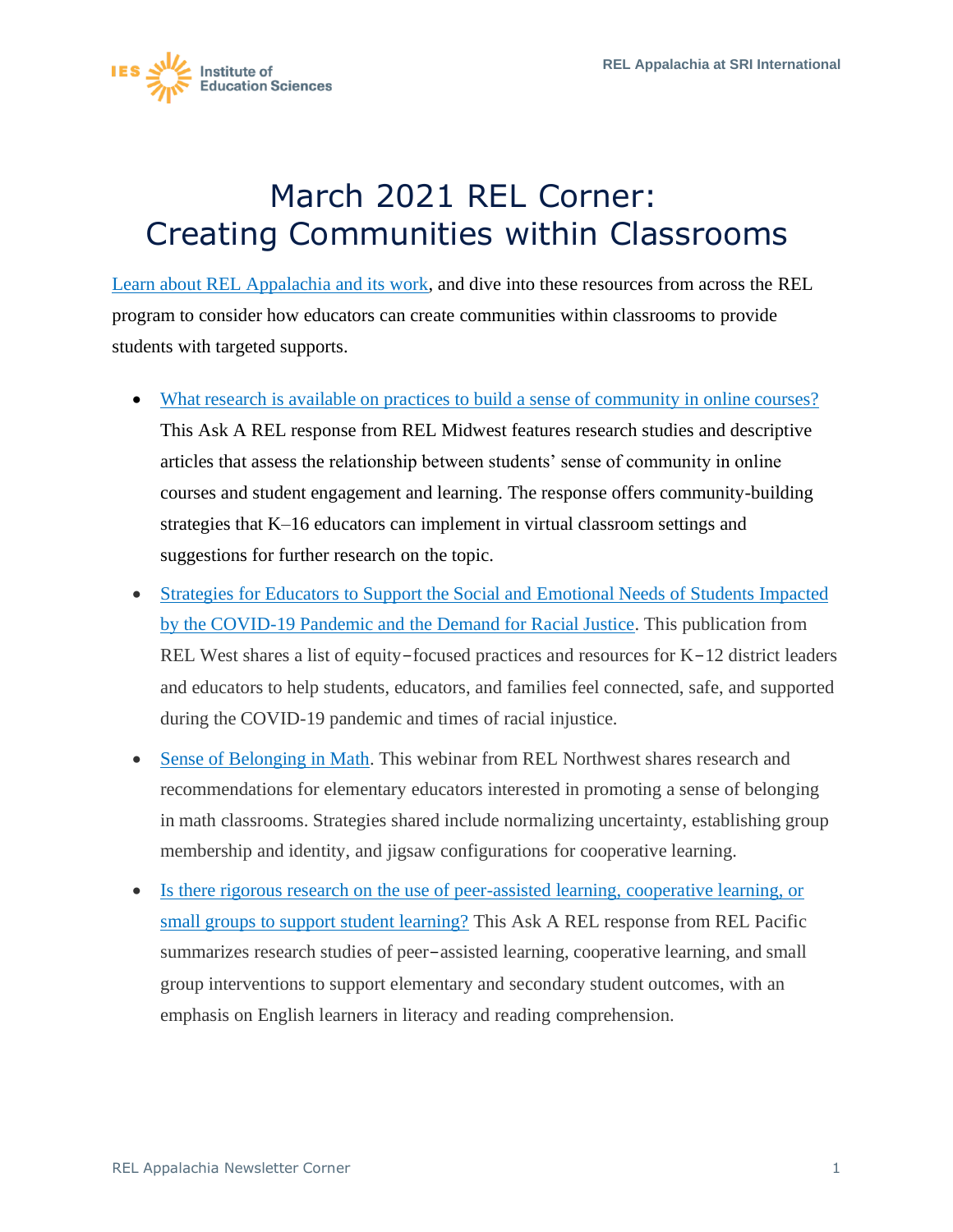

## March 2021 REL Corner: Creating Communities within Classrooms

Learn about REL Appalachia and its work, and dive into these resources from across the REL program to consider how educators can create communities within classrooms to provide students with targeted supports.

- What research is available on practices to build a sense of community in online courses? This Ask A REL response from REL Midwest features research studies and descriptive articles that assess the relationship between students' sense of community in online courses and student engagement and learning. The response offers community-building strategies that K–16 educators can implement in virtual classroom settings and suggestions for further research on the topic.
- Strategies for Educators to Support the Social and Emotional Needs of Students Impacted by the COVID-19 Pandemic and the Demand for Racial Justice. This publication from REL West shares a list of equity-focused practices and resources for K-12 district leaders and educators to help students, educators, and families feel connected, safe, and supported during the COVID-19 pandemic and times of racial injustice.
- Sense of Belonging in Math. This webinar from REL Northwest shares research and recommendations for elementary educators interested in promoting a sense of belonging in math classrooms. Strategies shared include normalizing uncertainty, establishing group membership and identity, and jigsaw configurations for cooperative learning.
- Is there rigorous research on the use of peer-assisted learning, cooperative learning, or small groups to support student learning? This Ask A REL response from REL Pacific summarizes research studies of peer-assisted learning, cooperative learning, and small group interventions to support elementary and secondary student outcomes, with an emphasis on English learners in literacy and reading comprehension.